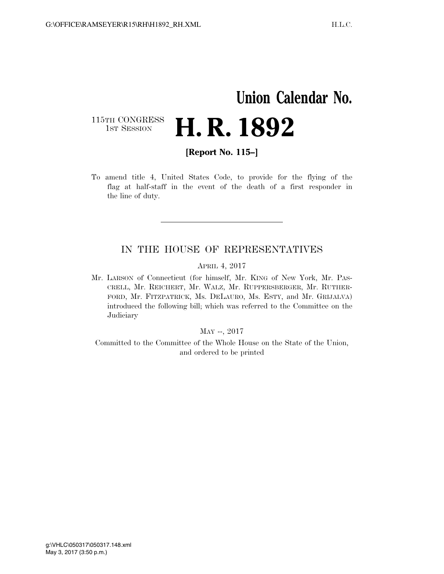## **Union Calendar No.**  115TH CONGRESS<br>1st Session H. R. 1892

**[Report No. 115–]** 

To amend title 4, United States Code, to provide for the flying of the flag at half-staff in the event of the death of a first responder in the line of duty.

## IN THE HOUSE OF REPRESENTATIVES

APRIL 4, 2017

Mr. LARSON of Connecticut (for himself, Mr. KING of New York, Mr. PAS-CRELL, Mr. REICHERT, Mr. WALZ, Mr. RUPPERSBERGER, Mr. RUTHER-FORD, Mr. FITZPATRICK, Ms. DELAURO, Ms. ESTY, and Mr. GRIJALVA) introduced the following bill; which was referred to the Committee on the **Judiciary** 

## MAY --, 2017

Committed to the Committee of the Whole House on the State of the Union, and ordered to be printed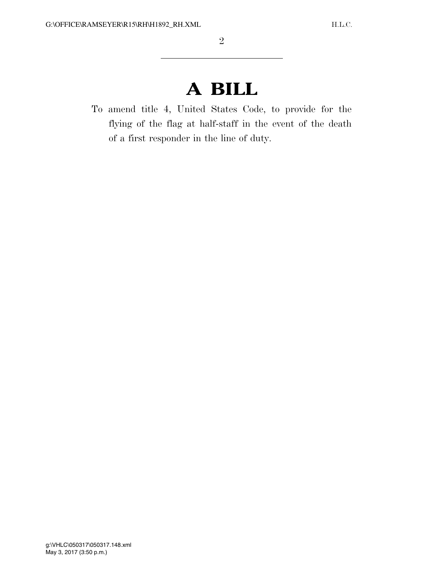## **A BILL**

To amend title 4, United States Code, to provide for the flying of the flag at half-staff in the event of the death of a first responder in the line of duty.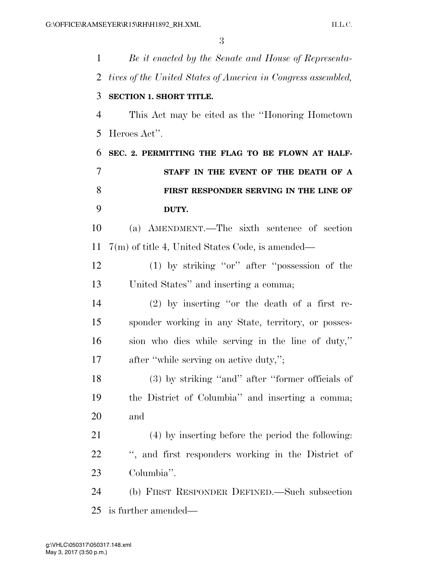| 1              | Be it enacted by the Senate and House of Representa-         |
|----------------|--------------------------------------------------------------|
| 2              | tives of the United States of America in Congress assembled, |
| 3              | <b>SECTION 1. SHORT TITLE.</b>                               |
| $\overline{4}$ | This Act may be cited as the "Honoring Hometown"             |
| 5              | Heroes Act".                                                 |
| 6              | SEC. 2. PERMITTING THE FLAG TO BE FLOWN AT HALF-             |
| 7              | STAFF IN THE EVENT OF THE DEATH OF A                         |
| 8              | FIRST RESPONDER SERVING IN THE LINE OF                       |
| 9              | DUTY.                                                        |
| 10             | (a) AMENDMENT.—The sixth sentence of section                 |
| 11             | $7(m)$ of title 4, United States Code, is amended—           |
| 12             | $(1)$ by striking "or" after "possession of the              |
| 13             | United States" and inserting a comma;                        |
| 14             | $(2)$ by inserting "or the death of a first re-              |
| 15             | sponder working in any State, territory, or posses-          |
| 16             | sion who dies while serving in the line of duty,"            |
| 17             | after "while serving on active duty,";                       |
| 18             | (3) by striking "and" after "former officials of             |
| 19             | the District of Columbia" and inserting a comma;             |
| 20             | and                                                          |
| 21             | (4) by inserting before the period the following:            |
| <u>22</u>      | ", and first responders working in the District of           |
| 23             | Columbia".                                                   |
| 24             | (b) FIRST RESPONDER DEFINED.—Such subsection                 |
| 25             | is further amended—                                          |